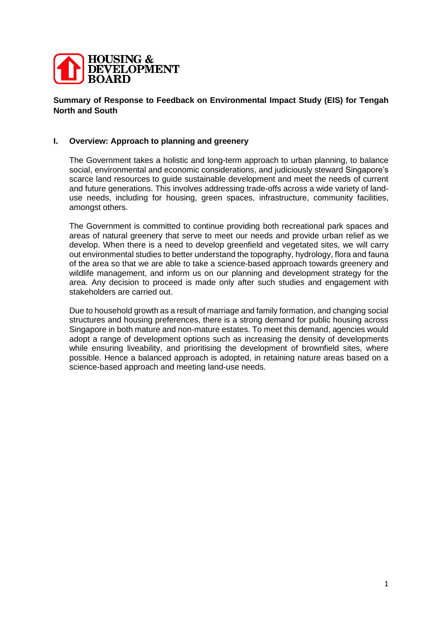

**Summary of Response to Feedback on Environmental Impact Study (EIS) for Tengah North and South**

### **I. Overview: Approach to planning and greenery**

The Government takes a holistic and long-term approach to urban planning, to balance social, environmental and economic considerations, and judiciously steward Singapore's scarce land resources to guide sustainable development and meet the needs of current and future generations. This involves addressing trade-offs across a wide variety of landuse needs, including for housing, green spaces, infrastructure, community facilities, amongst others.

The Government is committed to continue providing both recreational park spaces and areas of natural greenery that serve to meet our needs and provide urban relief as we develop. When there is a need to develop greenfield and vegetated sites, we will carry out environmental studies to better understand the topography, hydrology, flora and fauna of the area so that we are able to take a science-based approach towards greenery and wildlife management, and inform us on our planning and development strategy for the area. Any decision to proceed is made only after such studies and engagement with stakeholders are carried out.

Due to household growth as a result of marriage and family formation, and changing social structures and housing preferences, there is a strong demand for public housing across Singapore in both mature and non-mature estates. To meet this demand, agencies would adopt a range of development options such as increasing the density of developments while ensuring liveability, and prioritising the development of brownfield sites, where possible. Hence a balanced approach is adopted, in retaining nature areas based on a science-based approach and meeting land-use needs.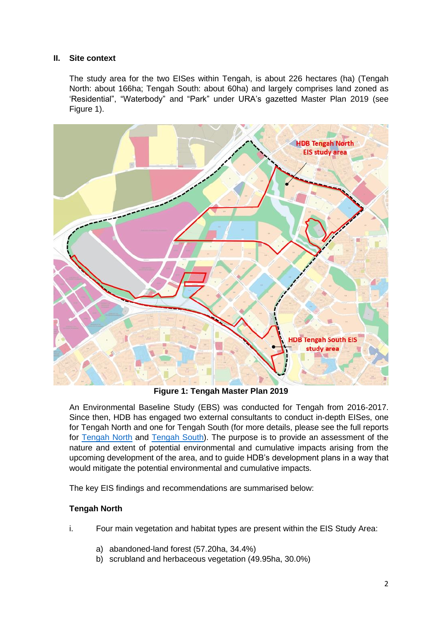## **II. Site context**

The study area for the two EISes within Tengah, is about 226 hectares (ha) (Tengah North: about 166ha; Tengah South: about 60ha) and largely comprises land zoned as 'Residential", "Waterbody" and "Park" under URA's gazetted Master Plan 2019 (see Figure 1).



**Figure 1: Tengah Master Plan 2019**

An Environmental Baseline Study (EBS) was conducted for Tengah from 2016-2017. Since then, HDB has engaged two external consultants to conduct in-depth EISes, one for Tengah North and one for Tengah South (for more details, please see the full reports for [Tengah North](https://www.hdb.gov.sg/cs/infoweb/-/media/doc/RPG/Tengah-North-EIS-Report.pdf?la=en&hash=4969192A8B9DBC51AEFDBDE785C1F425885AC782) and [Tengah South\)](https://www.hdb.gov.sg/cs/infoweb/-/media/doc/RPG/Tengah-South-EIS-Report.pdf?la=en&hash=660A31EF7F2AA3EB9A50CFCEE13CE23BC4D12A19). The purpose is to provide an assessment of the nature and extent of potential environmental and cumulative impacts arising from the upcoming development of the area, and to guide HDB's development plans in a way that would mitigate the potential environmental and cumulative impacts.

The key EIS findings and recommendations are summarised below:

# **Tengah North**

- i. Four main vegetation and habitat types are present within the EIS Study Area:
	- a) abandoned-land forest (57.20ha, 34.4%)
	- b) scrubland and herbaceous vegetation (49.95ha, 30.0%)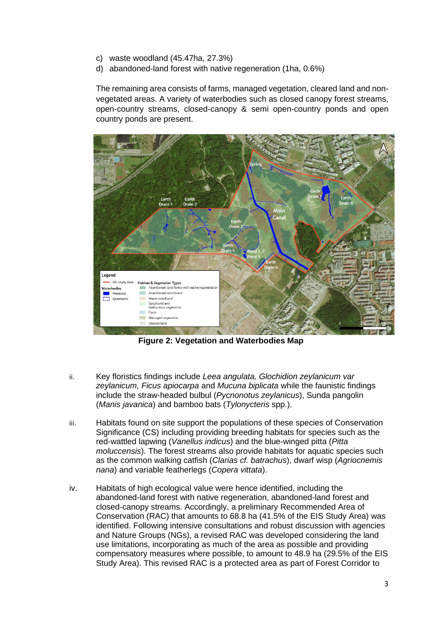- c) waste woodland (45.47ha, 27.3%)
- d) abandoned-land forest with native regeneration (1ha, 0.6%)

The remaining area consists of farms, managed vegetation, cleared land and nonvegetated areas. A variety of waterbodies such as closed canopy forest streams, open-country streams, closed-canopy & semi open-country ponds and open country ponds are present.



**Figure 2: Vegetation and Waterbodies Map**

- ii. Key floristics findings include *Leea angulata, Glochidion zeylanicum var zeylanicum, Ficus apiocarpa* and *Mucuna biplicata* while the faunistic findings include the straw-headed bulbul (*Pycnonotus zeylanicus*), Sunda pangolin (*Manis javanica*) and bamboo bats (*Tylonycteris* spp.).
- iii. Habitats found on site support the populations of these species of Conservation Significance (CS) including providing breeding habitats for species such as the red-wattled lapwing (*Vanellus indicus*) and the blue-winged pitta (*Pitta moluccensis*). The forest streams also provide habitats for aquatic species such as the common walking catfish (*Clarias cf. batrachus*), dwarf wisp (*Agriocnemis nana*) and variable featherlegs (*Copera vittata*).
- iv. Habitats of high ecological value were hence identified, including the abandoned-land forest with native regeneration, abandoned-land forest and closed-canopy streams. Accordingly, a preliminary Recommended Area of Conservation (RAC) that amounts to 68.8 ha (41.5% of the EIS Study Area) was identified. Following intensive consultations and robust discussion with agencies and Nature Groups (NGs), a revised RAC was developed considering the land use limitations, incorporating as much of the area as possible and providing compensatory measures where possible, to amount to 48.9 ha (29.5% of the EIS Study Area). This revised RAC is a protected area as part of Forest Corridor to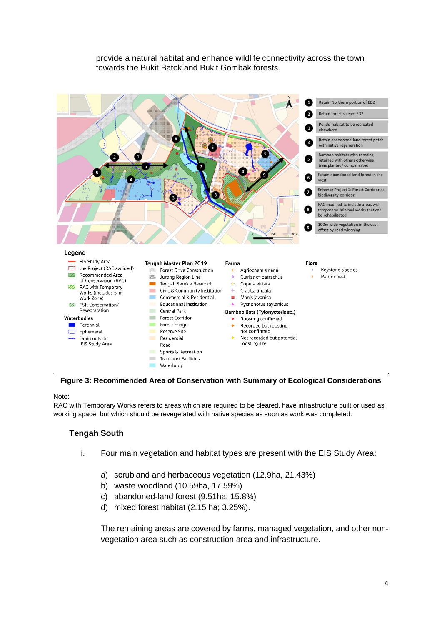### provide a natural habitat and enhance wildlife connectivity across the town towards the Bukit Batok and Bukit Gombak forests.



#### **Figure 3: Recommended Area of Conservation with Summary of Ecological Considerations**

#### Note:

RAC with Temporary Works refers to areas which are required to be cleared, have infrastructure built or used as working space, but which should be revegetated with native species as soon as work was completed.

#### **Tengah South**

- i. Four main vegetation and habitat types are present with the EIS Study Area:
	- a) scrubland and herbaceous vegetation (12.9ha, 21.43%)
	- b) waste woodland (10.59ha, 17.59%)
	- c) abandoned-land forest (9.51ha; 15.8%)
	- d) mixed forest habitat (2.15 ha; 3.25%).

The remaining areas are covered by farms, managed vegetation, and other nonvegetation area such as construction area and infrastructure.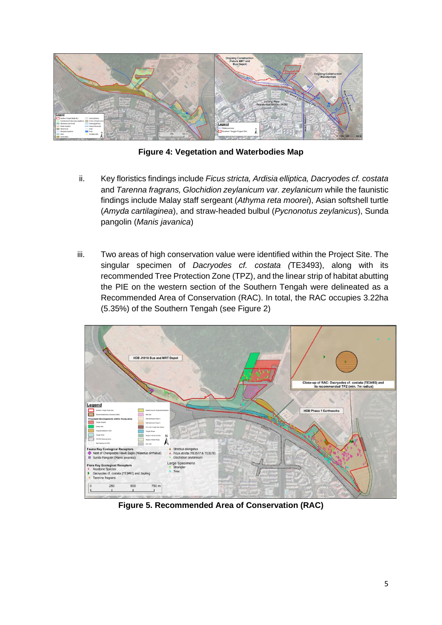

**Figure 4: Vegetation and Waterbodies Map**

- ii. Key floristics findings include *Ficus stricta, Ardisia elliptica, Dacryodes cf. costata* and *Tarenna fragrans, Glochidion zeylanicum var. zeylanicum* while the faunistic findings include Malay staff sergeant (*Athyma reta moorei*), Asian softshell turtle (*Amyda cartilaginea*), and straw-headed bulbul (*Pycnonotus zeylanicus*), Sunda pangolin (*Manis javanica*)
- iii. Two areas of high conservation value were identified within the Project Site. The singular specimen of *Dacryodes cf. costata (*TE3493), along with its recommended Tree Protection Zone (TPZ), and the linear strip of habitat abutting the PIE on the western section of the Southern Tengah were delineated as a Recommended Area of Conservation (RAC). In total, the RAC occupies 3.22ha (5.35%) of the Southern Tengah (see Figure 2)



**Figure 5. Recommended Area of Conservation (RAC)**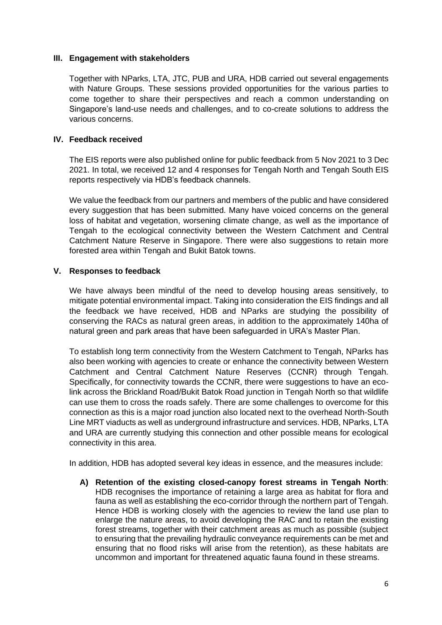### **III. Engagement with stakeholders**

Together with NParks, LTA, JTC, PUB and URA, HDB carried out several engagements with Nature Groups. These sessions provided opportunities for the various parties to come together to share their perspectives and reach a common understanding on Singapore's land-use needs and challenges, and to co-create solutions to address the various concerns.

### **IV. Feedback received**

The EIS reports were also published online for public feedback from 5 Nov 2021 to 3 Dec 2021. In total, we received 12 and 4 responses for Tengah North and Tengah South EIS reports respectively via HDB's feedback channels.

We value the feedback from our partners and members of the public and have considered every suggestion that has been submitted. Many have voiced concerns on the general loss of habitat and vegetation, worsening climate change, as well as the importance of Tengah to the ecological connectivity between the Western Catchment and Central Catchment Nature Reserve in Singapore. There were also suggestions to retain more forested area within Tengah and Bukit Batok towns.

## **V. Responses to feedback**

We have always been mindful of the need to develop housing areas sensitively, to mitigate potential environmental impact. Taking into consideration the EIS findings and all the feedback we have received, HDB and NParks are studying the possibility of conserving the RACs as natural green areas, in addition to the approximately 140ha of natural green and park areas that have been safeguarded in URA's Master Plan.

To establish long term connectivity from the Western Catchment to Tengah, NParks has also been working with agencies to create or enhance the connectivity between Western Catchment and Central Catchment Nature Reserves (CCNR) through Tengah. Specifically, for connectivity towards the CCNR, there were suggestions to have an ecolink across the Brickland Road/Bukit Batok Road junction in Tengah North so that wildlife can use them to cross the roads safely. There are some challenges to overcome for this connection as this is a major road junction also located next to the overhead North-South Line MRT viaducts as well as underground infrastructure and services. HDB, NParks, LTA and URA are currently studying this connection and other possible means for ecological connectivity in this area.

In addition, HDB has adopted several key ideas in essence, and the measures include:

**A) Retention of the existing closed-canopy forest streams in Tengah North**: HDB recognises the importance of retaining a large area as habitat for flora and fauna as well as establishing the eco-corridor through the northern part of Tengah. Hence HDB is working closely with the agencies to review the land use plan to enlarge the nature areas, to avoid developing the RAC and to retain the existing forest streams, together with their catchment areas as much as possible (subject to ensuring that the prevailing hydraulic conveyance requirements can be met and ensuring that no flood risks will arise from the retention), as these habitats are uncommon and important for threatened aquatic fauna found in these streams.